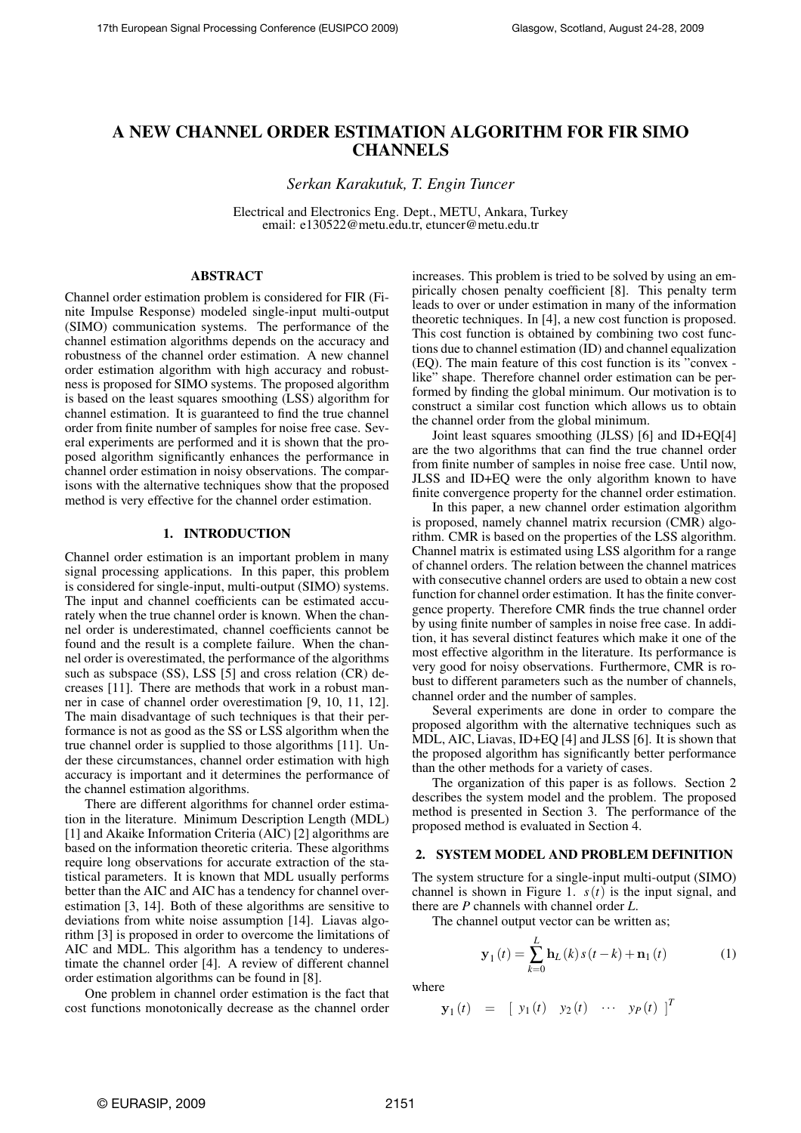# A NEW CHANNEL ORDER ESTIMATION ALGORITHM FOR FIR SIMO **CHANNELS**

*Serkan Karakutuk, T. Engin Tuncer*

Electrical and Electronics Eng. Dept., METU, Ankara, Turkey email: e130522@metu.edu.tr, etuncer@metu.edu.tr

## ABSTRACT

Channel order estimation problem is considered for FIR (Finite Impulse Response) modeled single-input multi-output (SIMO) communication systems. The performance of the channel estimation algorithms depends on the accuracy and robustness of the channel order estimation. A new channel order estimation algorithm with high accuracy and robustness is proposed for SIMO systems. The proposed algorithm is based on the least squares smoothing (LSS) algorithm for channel estimation. It is guaranteed to find the true channel order from finite number of samples for noise free case. Several experiments are performed and it is shown that the proposed algorithm significantly enhances the performance in channel order estimation in noisy observations. The comparisons with the alternative techniques show that the proposed method is very effective for the channel order estimation.

#### 1. INTRODUCTION

Channel order estimation is an important problem in many signal processing applications. In this paper, this problem is considered for single-input, multi-output (SIMO) systems. The input and channel coefficients can be estimated accurately when the true channel order is known. When the channel order is underestimated, channel coefficients cannot be found and the result is a complete failure. When the channel order is overestimated, the performance of the algorithms such as subspace (SS), LSS [5] and cross relation (CR) decreases [11]. There are methods that work in a robust manner in case of channel order overestimation [9, 10, 11, 12]. The main disadvantage of such techniques is that their performance is not as good as the SS or LSS algorithm when the true channel order is supplied to those algorithms [11]. Under these circumstances, channel order estimation with high accuracy is important and it determines the performance of the channel estimation algorithms.

There are different algorithms for channel order estimation in the literature. Minimum Description Length (MDL) [1] and Akaike Information Criteria (AIC) [2] algorithms are based on the information theoretic criteria. These algorithms require long observations for accurate extraction of the statistical parameters. It is known that MDL usually performs better than the AIC and AIC has a tendency for channel overestimation [3, 14]. Both of these algorithms are sensitive to deviations from white noise assumption [14]. Liavas algorithm [3] is proposed in order to overcome the limitations of AIC and MDL. This algorithm has a tendency to underestimate the channel order [4]. A review of different channel order estimation algorithms can be found in [8].

One problem in channel order estimation is the fact that cost functions monotonically decrease as the channel order increases. This problem is tried to be solved by using an empirically chosen penalty coefficient [8]. This penalty term leads to over or under estimation in many of the information theoretic techniques. In [4], a new cost function is proposed. This cost function is obtained by combining two cost functions due to channel estimation (ID) and channel equalization (EQ). The main feature of this cost function is its "convex like" shape. Therefore channel order estimation can be performed by finding the global minimum. Our motivation is to construct a similar cost function which allows us to obtain the channel order from the global minimum.

Joint least squares smoothing (JLSS) [6] and ID+EQ[4] are the two algorithms that can find the true channel order from finite number of samples in noise free case. Until now, JLSS and ID+EQ were the only algorithm known to have finite convergence property for the channel order estimation.

In this paper, a new channel order estimation algorithm is proposed, namely channel matrix recursion (CMR) algorithm. CMR is based on the properties of the LSS algorithm. Channel matrix is estimated using LSS algorithm for a range of channel orders. The relation between the channel matrices with consecutive channel orders are used to obtain a new cost function for channel order estimation. It has the finite convergence property. Therefore CMR finds the true channel order by using finite number of samples in noise free case. In addition, it has several distinct features which make it one of the most effective algorithm in the literature. Its performance is very good for noisy observations. Furthermore, CMR is robust to different parameters such as the number of channels, channel order and the number of samples.

Several experiments are done in order to compare the proposed algorithm with the alternative techniques such as MDL, AIC, Liavas, ID+EQ [4] and JLSS [6]. It is shown that the proposed algorithm has significantly better performance than the other methods for a variety of cases.

The organization of this paper is as follows. Section 2 describes the system model and the problem. The proposed method is presented in Section 3. The performance of the proposed method is evaluated in Section 4.

## 2. SYSTEM MODEL AND PROBLEM DEFINITION

The system structure for a single-input multi-output (SIMO) channel is shown in Figure 1.  $s(t)$  is the input signal, and there are *P* channels with channel order *L*.

The channel output vector can be written as;

$$
\mathbf{y}_{1}(t) = \sum_{k=0}^{L} \mathbf{h}_{L}(k) s(t-k) + \mathbf{n}_{1}(t)
$$
 (1)

where

$$
\mathbf{y}_1(t) = [y_1(t) \quad y_2(t) \quad \cdots \quad y_P(t)]^T
$$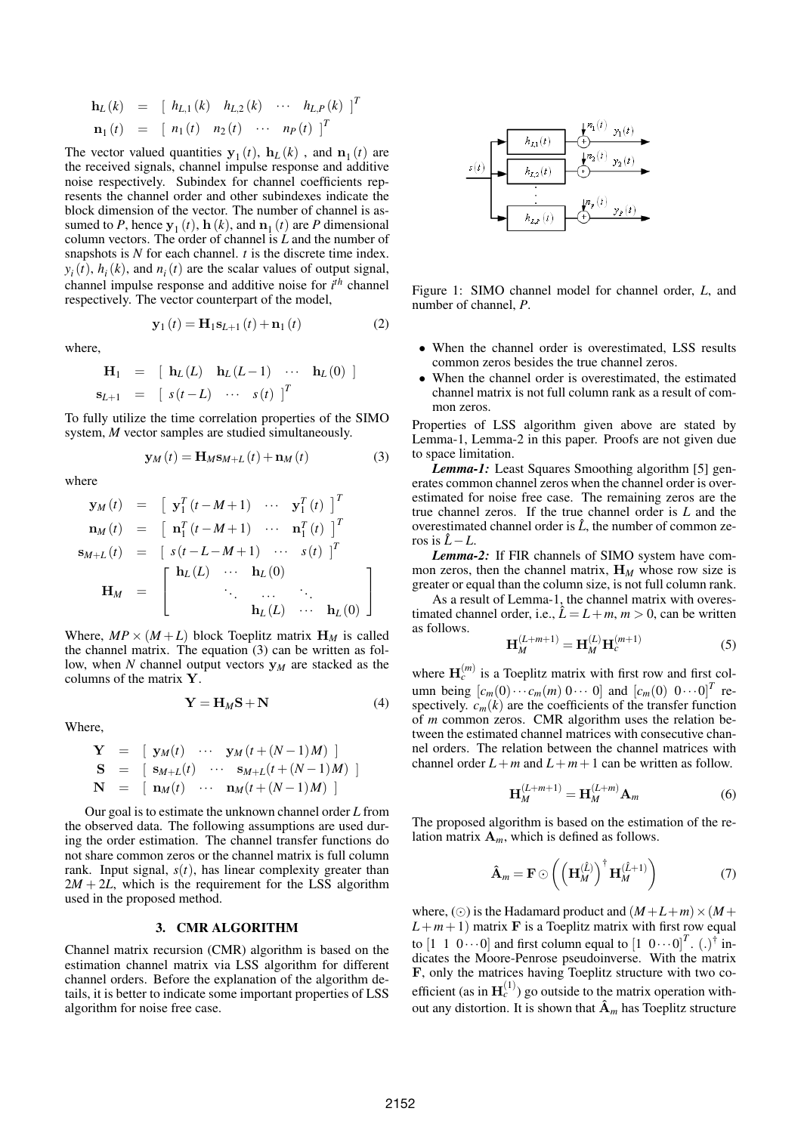$$
\mathbf{h}_{L}(k) = [h_{L,1}(k) \quad h_{L,2}(k) \quad \cdots \quad h_{L,P}(k)]^{T} \n\mathbf{n}_{1}(t) = [n_{1}(t) \quad n_{2}(t) \quad \cdots \quad n_{P}(t)]^{T}
$$

The vector valued quantities  $y_1(t)$ ,  $h_L(k)$ , and  $n_1(t)$  are the received signals, channel impulse response and additive noise respectively. Subindex for channel coefficients represents the channel order and other subindexes indicate the block dimension of the vector. The number of channel is assumed to *P*, hence  $y_1(t)$ ,  $h(k)$ , and  $n_1(t)$  are *P* dimensional column vectors. The order of channel is *L* and the number of snapshots is *N* for each channel. *t* is the discrete time index.  $y_i(t)$ ,  $h_i(k)$ , and  $n_i(t)$  are the scalar values of output signal, channel impulse response and additive noise for *i th* channel respectively. The vector counterpart of the model,

$$
y_1(t) = H_1 s_{L+1}(t) + n_1(t)
$$
 (2)

where,

$$
\begin{array}{rcl}\n\mathbf{H}_1 & = & \left[ \begin{array}{ccc} \mathbf{h}_L(L) & \mathbf{h}_L(L-1) & \cdots & \mathbf{h}_L(0) \end{array} \right] \\
\mathbf{s}_{L+1} & = & \left[ \begin{array}{ccc} s(t-L) & \cdots & s(t) \end{array} \right]^T\n\end{array}
$$

To fully utilize the time correlation properties of the SIMO system, *M* vector samples are studied simultaneously.

$$
\mathbf{y}_{M}(t) = \mathbf{H}_{M}\mathbf{s}_{M+L}(t) + \mathbf{n}_{M}(t)
$$
\n(3)

where

$$
\mathbf{y}_{M}(t) = \begin{bmatrix} \mathbf{y}_{1}^{T} (t - M + 1) & \cdots & \mathbf{y}_{1}^{T} (t) \end{bmatrix}^{T}
$$

$$
\mathbf{n}_{M}(t) = \begin{bmatrix} \mathbf{n}_{1}^{T} (t - M + 1) & \cdots & \mathbf{n}_{1}^{T} (t) \end{bmatrix}^{T}
$$

$$
\mathbf{s}_{M+L}(t) = \begin{bmatrix} s(t - L - M + 1) & \cdots & s(t) \end{bmatrix}^{T}
$$

$$
\mathbf{H}_{M} = \begin{bmatrix} \mathbf{h}_{L}(L) & \cdots & \mathbf{h}_{L}(0) \\ \vdots & \vdots & \ddots & \vdots \\ \mathbf{h}_{L}(L) & \cdots & \mathbf{h}_{L}(0) \end{bmatrix}
$$

Where,  $MP \times (M + L)$  block Toeplitz matrix  $H_M$  is called the channel matrix. The equation (3) can be written as follow, when *N* channel output vectors y*<sup>M</sup>* are stacked as the columns of the matrix Y.

$$
Y = H_M S + N \tag{4}
$$

Where,

$$
\mathbf{Y} = [\mathbf{y}_M(t) \cdots \mathbf{y}_M(t+(N-1)M)]
$$
  
\n
$$
\mathbf{S} = [\mathbf{s}_{M+L}(t) \cdots \mathbf{s}_{M+L}(t+(N-1)M)]
$$
  
\n
$$
\mathbf{N} = [\mathbf{n}_M(t) \cdots \mathbf{n}_M(t+(N-1)M)]
$$

Our goal is to estimate the unknown channel order *L* from the observed data. The following assumptions are used during the order estimation. The channel transfer functions do not share common zeros or the channel matrix is full column rank. Input signal,  $s(t)$ , has linear complexity greater than  $2M + 2L$ , which is the requirement for the LSS algorithm used in the proposed method.

#### 3. CMR ALGORITHM

Channel matrix recursion (CMR) algorithm is based on the estimation channel matrix via LSS algorithm for different channel orders. Before the explanation of the algorithm details, it is better to indicate some important properties of LSS algorithm for noise free case.



Figure 1: SIMO channel model for channel order, *L*, and number of channel, *P*.

- When the channel order is overestimated, LSS results common zeros besides the true channel zeros.
- When the channel order is overestimated, the estimated channel matrix is not full column rank as a result of common zeros.

Properties of LSS algorithm given above are stated by Lemma-1, Lemma-2 in this paper. Proofs are not given due to space limitation.

*Lemma-1:* Least Squares Smoothing algorithm [5] generates common channel zeros when the channel order is overestimated for noise free case. The remaining zeros are the true channel zeros. If the true channel order is *L* and the overestimated channel order is  $\hat{L}$ , the number of common zeros is  $\hat{L} - L$ .

*Lemma-2:* If FIR channels of SIMO system have common zeros, then the channel matrix, H*<sup>M</sup>* whose row size is greater or equal than the column size, is not full column rank.

As a result of Lemma-1, the channel matrix with overestimated channel order, i.e.,  $\hat{L} = L + m$ ,  $m > 0$ , can be written as follows.

$$
\mathbf{H}_{M}^{(L+m+1)} = \mathbf{H}_{M}^{(L)} \mathbf{H}_{c}^{(m+1)}
$$
 (5)

where  $\mathbf{H}_c^{(m)}$  is a Toeplitz matrix with first row and first column being  $[c_m(0) \cdots c_m(m) 0 \cdots 0]$  and  $[c_m(0) 0 \cdots 0]^T$  respectively.  $c_m(k)$  are the coefficients of the transfer function of *m* common zeros. CMR algorithm uses the relation between the estimated channel matrices with consecutive channel orders. The relation between the channel matrices with channel order  $L+m$  and  $L+m+1$  can be written as follow.

$$
\mathbf{H}_{M}^{(L+m+1)} = \mathbf{H}_{M}^{(L+m)} \mathbf{A}_{m}
$$
 (6)

The proposed algorithm is based on the estimation of the relation matrix  $A_m$ , which is defined as follows.

$$
\hat{\mathbf{A}}_m = \mathbf{F} \odot \left( \left( \mathbf{H}_M^{(\hat{L})} \right)^{\dagger} \mathbf{H}_M^{(\hat{L}+1)} \right) \tag{7}
$$

where, ( $\odot$ ) is the Hadamard product and  $(M+L+m) \times (M+$  $L+m+1$ ) matrix **F** is a Toeplitz matrix with first row equal to  $\begin{bmatrix} 1 & 1 & 0 \cdots 0 \end{bmatrix}$  and first column equal to  $\begin{bmatrix} 1 & 0 \cdots 0 \end{bmatrix}^T$ .  $(.)^{\dagger}$  indicates the Moore-Penrose pseudoinverse. With the matrix F, only the matrices having Toeplitz structure with two coefficient (as in  $H_c^{(1)}$ ) go outside to the matrix operation without any distortion. It is shown that  $\hat{A}_m$  has Toeplitz structure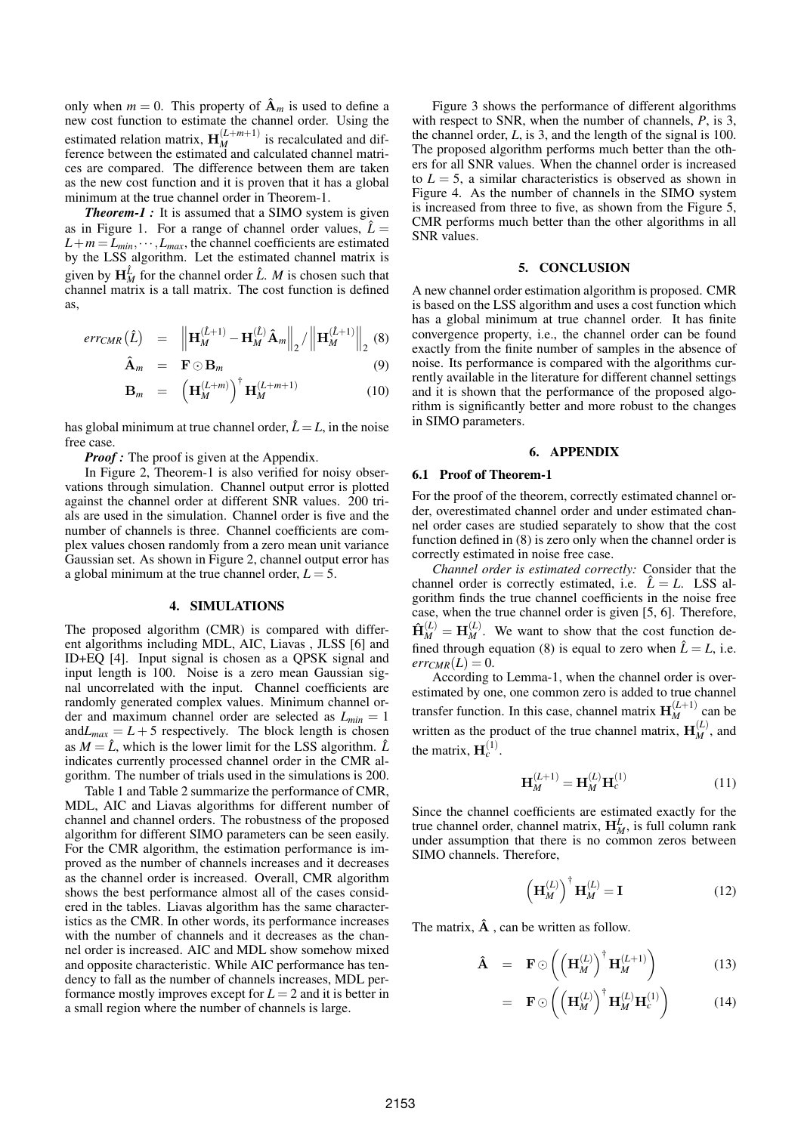only when  $m = 0$ . This property of  $\mathbf{\hat{A}}_m$  is used to define a new cost function to estimate the channel order. Using the estimated relation matrix,  $\mathbf{H}_{M}^{(L+m+1)}$  is recalculated and difference between the estimated and calculated channel matrices are compared. The difference between them are taken as the new cost function and it is proven that it has a global minimum at the true channel order in Theorem-1.

*Theorem-1 :* It is assumed that a SIMO system is given as in Figure 1. For a range of channel order values,  $\hat{L} =$  $L+m=L_{min},\cdots,L_{max}$ , the channel coefficients are estimated by the LSS algorithm. Let the estimated channel matrix is given by  $H_M^{\hat{L}}$  for the channel order  $\hat{L}$ . *M* is chosen such that channel matrix is a tall matrix. The cost function is defined as,

$$
err_{CMR}(\hat{L}) = ||\mathbf{H}_{M}^{(\hat{L}+1)} - \mathbf{H}_{M}^{(\hat{L})}\hat{\mathbf{A}}_{m}||_{2} / ||\mathbf{H}_{M}^{(\hat{L}+1)}||_{2} (8)
$$

$$
\hat{\mathbf{A}}_m = \mathbf{F} \odot \mathbf{B}_m \tag{9}
$$

$$
\mathbf{B}_m = \left(\mathbf{H}_M^{(L+m)}\right)^{\dagger} \mathbf{H}_M^{(L+m+1)} \tag{10}
$$

has global minimum at true channel order,  $\hat{L} = L$ , in the noise free case.

*Proof*: The proof is given at the Appendix.

In Figure 2, Theorem-1 is also verified for noisy observations through simulation. Channel output error is plotted against the channel order at different SNR values. 200 trials are used in the simulation. Channel order is five and the number of channels is three. Channel coefficients are complex values chosen randomly from a zero mean unit variance Gaussian set. As shown in Figure 2, channel output error has a global minimum at the true channel order,  $L = 5$ .

#### 4. SIMULATIONS

The proposed algorithm (CMR) is compared with different algorithms including MDL, AIC, Liavas , JLSS [6] and ID+EQ [4]. Input signal is chosen as a QPSK signal and input length is 100. Noise is a zero mean Gaussian signal uncorrelated with the input. Channel coefficients are randomly generated complex values. Minimum channel order and maximum channel order are selected as *Lmin* = 1 and $L_{max} = L + 5$  respectively. The block length is chosen as  $M = \hat{L}$ , which is the lower limit for the LSS algorithm.  $\hat{L}$ indicates currently processed channel order in the CMR algorithm. The number of trials used in the simulations is 200.

Table 1 and Table 2 summarize the performance of CMR, MDL, AIC and Liavas algorithms for different number of channel and channel orders. The robustness of the proposed algorithm for different SIMO parameters can be seen easily. For the CMR algorithm, the estimation performance is improved as the number of channels increases and it decreases as the channel order is increased. Overall, CMR algorithm shows the best performance almost all of the cases considered in the tables. Liavas algorithm has the same characteristics as the CMR. In other words, its performance increases with the number of channels and it decreases as the channel order is increased. AIC and MDL show somehow mixed and opposite characteristic. While AIC performance has tendency to fall as the number of channels increases, MDL performance mostly improves except for  $L = 2$  and it is better in a small region where the number of channels is large.

Figure 3 shows the performance of different algorithms with respect to SNR, when the number of channels, *P*, is 3, the channel order, *L*, is 3, and the length of the signal is 100. The proposed algorithm performs much better than the others for all SNR values. When the channel order is increased to  $L = 5$ , a similar characteristics is observed as shown in Figure 4. As the number of channels in the SIMO system is increased from three to five, as shown from the Figure 5, CMR performs much better than the other algorithms in all SNR values.

#### 5. CONCLUSION

A new channel order estimation algorithm is proposed. CMR is based on the LSS algorithm and uses a cost function which has a global minimum at true channel order. It has finite convergence property, i.e., the channel order can be found exactly from the finite number of samples in the absence of noise. Its performance is compared with the algorithms currently available in the literature for different channel settings and it is shown that the performance of the proposed algorithm is significantly better and more robust to the changes in SIMO parameters.

#### 6. APPENDIX

#### 6.1 Proof of Theorem-1

For the proof of the theorem, correctly estimated channel order, overestimated channel order and under estimated channel order cases are studied separately to show that the cost function defined in (8) is zero only when the channel order is correctly estimated in noise free case.

*Channel order is estimated correctly:* Consider that the channel order is correctly estimated, i.e.  $\hat{L} = L$ . LSS algorithm finds the true channel coefficients in the noise free case, when the true channel order is given [5, 6]. Therefore,  $\hat{\mathbf{H}}_M^{(L)} = \mathbf{H}_M^{(L)}$ . We want to show that the cost function defined through equation (8) is equal to zero when  $\hat{L} = L$ , i.e.  $err_{CMR}(L) = 0.$ 

According to Lemma-1, when the channel order is overestimated by one, one common zero is added to true channel transfer function. In this case, channel matrix  $\mathbf{H}_{M}^{(L+1)}$  can be written as the product of the true channel matrix,  $\mathbf{H}_{M}^{(L)}$ , and the matrix,  $H_c^{(1)}$ .

$$
\mathbf{H}_{M}^{(L+1)} = \mathbf{H}_{M}^{(L)} \mathbf{H}_{c}^{(1)}
$$
 (11)

Since the channel coefficients are estimated exactly for the true channel order, channel matrix,  $H_M^L$ , is full column rank under assumption that there is no common zeros between SIMO channels. Therefore,

$$
\left(\mathbf{H}_{M}^{(L)}\right)^{\dagger}\mathbf{H}_{M}^{(L)}=\mathbf{I}
$$
 (12)

The matrix,  $\hat{A}$ , can be written as follow.

$$
\hat{\mathbf{A}} = \mathbf{F} \odot \left( \left( \mathbf{H}_M^{(L)} \right)^{\dagger} \mathbf{H}_M^{(L+1)} \right) \tag{13}
$$

$$
= \mathbf{F} \odot \left( \left( \mathbf{H}_M^{(L)} \right)^{\dagger} \mathbf{H}_M^{(L)} \mathbf{H}_c^{(1)} \right) \tag{14}
$$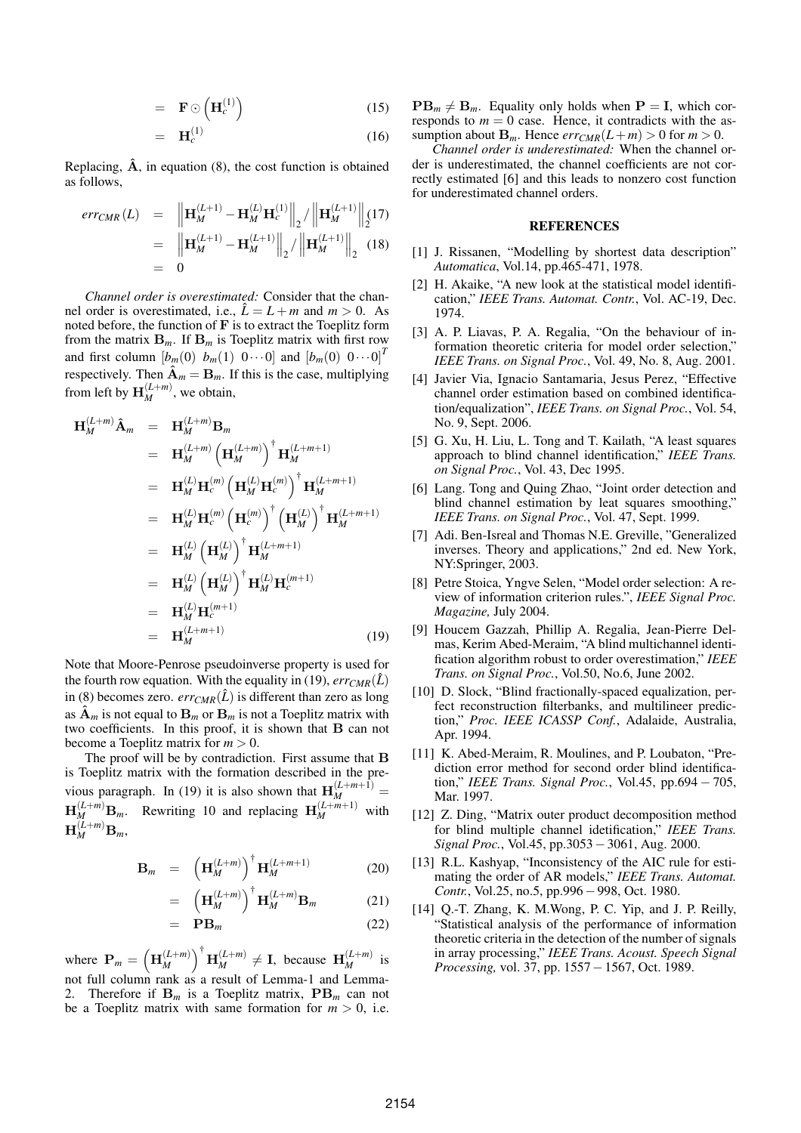$$
= \mathbf{F} \odot \left( \mathbf{H}_c^{(1)} \right) \tag{15}
$$

$$
= \mathbf{H}_c^{(1)} \tag{16}
$$

Replacing,  $\hat{A}$ , in equation (8), the cost function is obtained as follows,

$$
err_{CMR}(L) = \| \mathbf{H}_{M}^{(L+1)} - \mathbf{H}_{M}^{(L)} \mathbf{H}_{c}^{(1)} \|_{2} / \| \mathbf{H}_{M}^{(L+1)} \|_{2}^{2}
$$
  
= 
$$
\| \mathbf{H}_{M}^{(L+1)} - \mathbf{H}_{M}^{(L+1)} \|_{2} / \| \mathbf{H}_{M}^{(L+1)} \|_{2}
$$
(18)  
= 0

*Channel order is overestimated:* Consider that the channel order is overestimated, i.e.,  $\hat{L} = L + m$  and  $m > 0$ . As noted before, the function of  $\bf{F}$  is to extract the Toeplitz form from the matrix  $\mathbf{B}_m$ . If  $\mathbf{B}_m$  is Toeplitz matrix with first row and first column  $[b_m(0) \ b_m(1) \ 0 \cdots 0]$  and  $[b_m(0) \ 0 \cdots 0]^T$ respectively. Then  $\mathbf{\hat{A}}_m = \mathbf{B}_m$ . If this is the case, multiplying from left by  $\mathbf{H}_{M}^{(L+m)}$ , we obtain,

$$
\mathbf{H}_{M}^{(L+m)}\hat{\mathbf{A}}_{m} = \mathbf{H}_{M}^{(L+m)}\mathbf{B}_{m}
$$
\n
$$
= \mathbf{H}_{M}^{(L+m)}\left(\mathbf{H}_{M}^{(L+m)}\right)^{\dagger}\mathbf{H}_{M}^{(L+m+1)}
$$
\n
$$
= \mathbf{H}_{M}^{(L)}\mathbf{H}_{c}^{(m)}\left(\mathbf{H}_{M}^{(L)}\mathbf{H}_{c}^{(m)}\right)^{\dagger}\mathbf{H}_{M}^{(L+m+1)}
$$
\n
$$
= \mathbf{H}_{M}^{(L)}\mathbf{H}_{c}^{(m)}\left(\mathbf{H}_{c}^{(m)}\right)^{\dagger}\left(\mathbf{H}_{M}^{(L)}\right)^{\dagger}\mathbf{H}_{M}^{(L+m+1)}
$$
\n
$$
= \mathbf{H}_{M}^{(L)}\left(\mathbf{H}_{M}^{(L)}\right)^{\dagger}\mathbf{H}_{M}^{(L+m+1)}
$$
\n
$$
= \mathbf{H}_{M}^{(L)}\left(\mathbf{H}_{M}^{(L)}\right)^{\dagger}\mathbf{H}_{M}^{(L)}\mathbf{H}_{c}^{(m+1)}
$$
\n
$$
= \mathbf{H}_{M}^{(L)}\mathbf{H}_{c}^{(m+1)}
$$
\n
$$
= \mathbf{H}_{M}^{(L+m+1)}
$$
\n
$$
= \mathbf{H}_{M}^{(L+m+1)}
$$
\n(19)

Note that Moore-Penrose pseudoinverse property is used for the fourth row equation. With the equality in (19),  $err_{CMR}(\hat{L})$ in (8) becomes zero. *err<sub>CMR</sub>*( $\hat{L}$ ) is different than zero as long as  $\hat{A}_m$  is not equal to  $B_m$  or  $B_m$  is not a Toeplitz matrix with two coefficients. In this proof, it is shown that B can not become a Toeplitz matrix for *m* > 0.

The proof will be by contradiction. First assume that B is Toeplitz matrix with the formation described in the previous paragraph. In (19) it is also shown that  $\mathbf{H}_{M}^{(L+m+1)}$  =  $\mathbf{H}_{M}^{(L+m)}\mathbf{B}_{m}$ . Rewriting 10 and replacing  $\mathbf{H}_{M}^{(L+m+1)}$  with  $\mathbf{H}_{M}^{(L+m)}\mathbf{B}_{m},$ 

$$
\mathbf{B}_m = \left(\mathbf{H}_M^{(L+m)}\right)^{\dagger} \mathbf{H}_M^{(L+m+1)} \tag{20}
$$

$$
= \left(\mathbf{H}_{M}^{(L+m)}\right)^{\dagger} \mathbf{H}_{M}^{(L+m)} \mathbf{B}_{m} \tag{21}
$$

$$
= \tP B_m \t\t(22)
$$

where  $P_m =$  $\overline{a}$  $\mathbf{H}_{M}^{(L+m)}$ *M* ´†  $\mathbf{H}_{M}^{(L+m)} \neq \mathbf{I}$ , because  $\mathbf{H}_{M}^{(L+m)}$  is not full column rank as a result of Lemma-1 and Lemma-2. Therefore if  $B_m$  is a Toeplitz matrix,  $PB_m$  can not be a Toeplitz matrix with same formation for  $m > 0$ , i.e.

 $PB_m \neq B_m$ . Equality only holds when  $P = I$ , which corresponds to  $m = 0$  case. Hence, it contradicts with the assumption about  $\mathbf{B}_m$ . Hence  $err_{CMR}(L+m) > 0$  for  $m > 0$ .

*Channel order is underestimated:* When the channel order is underestimated, the channel coefficients are not correctly estimated [6] and this leads to nonzero cost function for underestimated channel orders.

### **REFERENCES**

- [1] J. Rissanen, "Modelling by shortest data description" *Automatica*, Vol.14, pp.465-471, 1978.
- [2] H. Akaike, "A new look at the statistical model identification," *IEEE Trans. Automat. Contr.*, Vol. AC-19, Dec. 1974.
- [3] A. P. Liavas, P. A. Regalia, "On the behaviour of information theoretic criteria for model order selection," *IEEE Trans. on Signal Proc.*, Vol. 49, No. 8, Aug. 2001.
- [4] Javier Via, Ignacio Santamaria, Jesus Perez, "Effective channel order estimation based on combined identification/equalization", *IEEE Trans. on Signal Proc.*, Vol. 54, No. 9, Sept. 2006.
- [5] G. Xu, H. Liu, L. Tong and T. Kailath, "A least squares approach to blind channel identification," *IEEE Trans. on Signal Proc.*, Vol. 43, Dec 1995.
- [6] Lang. Tong and Quing Zhao, "Joint order detection and blind channel estimation by leat squares smoothing," *IEEE Trans. on Signal Proc.*, Vol. 47, Sept. 1999.
- [7] Adi. Ben-Isreal and Thomas N.E. Greville, "Generalized inverses. Theory and applications," 2nd ed. New York, NY:Springer, 2003.
- [8] Petre Stoica, Yngve Selen, "Model order selection: A review of information criterion rules.", *IEEE Signal Proc. Magazine,* July 2004.
- [9] Houcem Gazzah, Phillip A. Regalia, Jean-Pierre Delmas, Kerim Abed-Meraim, "A blind multichannel identification algorithm robust to order overestimation," *IEEE Trans. on Signal Proc.*, Vol.50, No.6, June 2002.
- [10] D. Slock, "Blind fractionally-spaced equalization, perfect reconstruction filterbanks, and multilineer prediction," *Proc. IEEE ICASSP Conf.*, Adalaide, Australia, Apr. 1994.
- [11] K. Abed-Meraim, R. Moulines, and P. Loubaton, "Prediction error method for second order blind identification," *IEEE Trans. Signal Proc.*, Vol.45, pp.694 − 705, Mar. 1997.
- [12] Z. Ding, "Matrix outer product decomposition method for blind multiple channel idetification," *IEEE Trans. Signal Proc.*, Vol.45, pp.3053−3061, Aug. 2000.
- [13] R.L. Kashyap, "Inconsistency of the AIC rule for estimating the order of AR models," *IEEE Trans. Automat. Contr.*, Vol.25, no.5, pp.996−998, Oct. 1980.
- [14] O.-T. Zhang, K. M.Wong, P. C. Yip, and J. P. Reilly, "Statistical analysis of the performance of information theoretic criteria in the detection of the number of signals in array processing," *IEEE Trans. Acoust. Speech Signal Processing,* vol. 37, pp. 1557 – 1567, Oct. 1989.